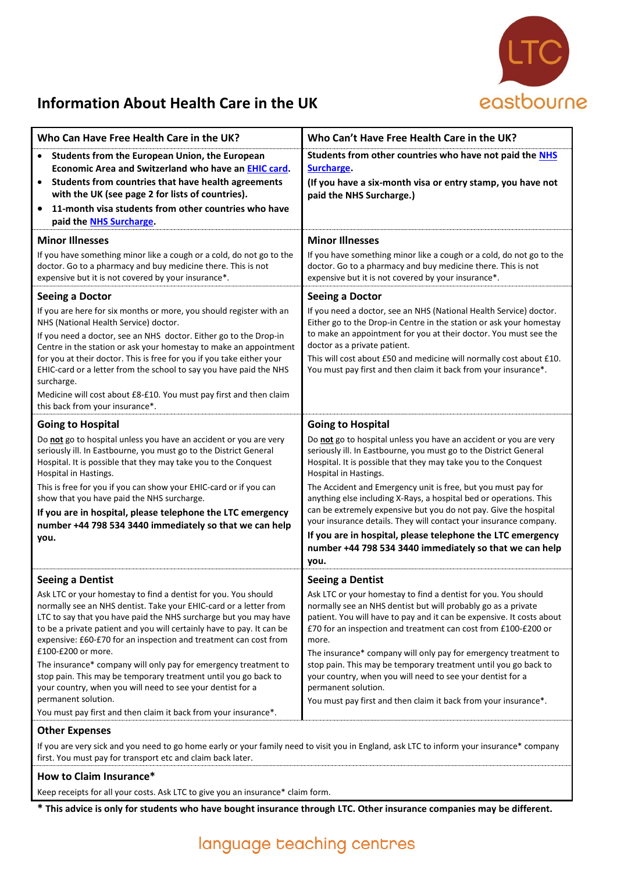

## **Information About Health Care in the UK**

| Who Can Have Free Health Care in the UK?                                                                                                                                                                                                                                                                                                                                                                                                                                                                                                                                                              | Who Can't Have Free Health Care in the UK?                                                                                                                                                                                                                                                                                                                                                                                                                                                                                                                                                                                                          |
|-------------------------------------------------------------------------------------------------------------------------------------------------------------------------------------------------------------------------------------------------------------------------------------------------------------------------------------------------------------------------------------------------------------------------------------------------------------------------------------------------------------------------------------------------------------------------------------------------------|-----------------------------------------------------------------------------------------------------------------------------------------------------------------------------------------------------------------------------------------------------------------------------------------------------------------------------------------------------------------------------------------------------------------------------------------------------------------------------------------------------------------------------------------------------------------------------------------------------------------------------------------------------|
| Students from the European Union, the European<br>$\bullet$<br>Economic Area and Switzerland who have an EHIC card.<br>Students from countries that have health agreements<br>$\bullet$<br>with the UK (see page 2 for lists of countries).<br>11-month visa students from other countries who have<br>$\bullet$<br>paid the NHS Surcharge.                                                                                                                                                                                                                                                           | Students from other countries who have not paid the NHS<br><b>Surcharge.</b><br>(If you have a six-month visa or entry stamp, you have not<br>paid the NHS Surcharge.)                                                                                                                                                                                                                                                                                                                                                                                                                                                                              |
| <b>Minor Illnesses</b>                                                                                                                                                                                                                                                                                                                                                                                                                                                                                                                                                                                | <b>Minor Illnesses</b>                                                                                                                                                                                                                                                                                                                                                                                                                                                                                                                                                                                                                              |
| If you have something minor like a cough or a cold, do not go to the<br>doctor. Go to a pharmacy and buy medicine there. This is not<br>expensive but it is not covered by your insurance*.                                                                                                                                                                                                                                                                                                                                                                                                           | If you have something minor like a cough or a cold, do not go to the<br>doctor. Go to a pharmacy and buy medicine there. This is not<br>expensive but it is not covered by your insurance*.                                                                                                                                                                                                                                                                                                                                                                                                                                                         |
| <b>Seeing a Doctor</b>                                                                                                                                                                                                                                                                                                                                                                                                                                                                                                                                                                                | <b>Seeing a Doctor</b>                                                                                                                                                                                                                                                                                                                                                                                                                                                                                                                                                                                                                              |
| If you are here for six months or more, you should register with an<br>NHS (National Health Service) doctor.<br>If you need a doctor, see an NHS doctor. Either go to the Drop-in<br>Centre in the station or ask your homestay to make an appointment<br>for you at their doctor. This is free for you if you take either your<br>EHIC-card or a letter from the school to say you have paid the NHS<br>surcharge.<br>Medicine will cost about £8-£10. You must pay first and then claim<br>this back from your insurance*.                                                                          | If you need a doctor, see an NHS (National Health Service) doctor.<br>Either go to the Drop-in Centre in the station or ask your homestay<br>to make an appointment for you at their doctor. You must see the<br>doctor as a private patient.<br>This will cost about £50 and medicine will normally cost about £10.<br>You must pay first and then claim it back from your insurance*.                                                                                                                                                                                                                                                             |
| <b>Going to Hospital</b>                                                                                                                                                                                                                                                                                                                                                                                                                                                                                                                                                                              | <b>Going to Hospital</b>                                                                                                                                                                                                                                                                                                                                                                                                                                                                                                                                                                                                                            |
| Do not go to hospital unless you have an accident or you are very<br>seriously ill. In Eastbourne, you must go to the District General<br>Hospital. It is possible that they may take you to the Conquest<br>Hospital in Hastings.<br>This is free for you if you can show your EHIC-card or if you can<br>show that you have paid the NHS surcharge.<br>If you are in hospital, please telephone the LTC emergency<br>number +44 798 534 3440 immediately so that we can help<br>you.                                                                                                                | Do not go to hospital unless you have an accident or you are very<br>seriously ill. In Eastbourne, you must go to the District General<br>Hospital. It is possible that they may take you to the Conquest<br>Hospital in Hastings.<br>The Accident and Emergency unit is free, but you must pay for<br>anything else including X-Rays, a hospital bed or operations. This<br>can be extremely expensive but you do not pay. Give the hospital<br>your insurance details. They will contact your insurance company.<br>If you are in hospital, please telephone the LTC emergency<br>number +44 798 534 3440 immediately so that we can help<br>you. |
| <b>Seeing a Dentist</b>                                                                                                                                                                                                                                                                                                                                                                                                                                                                                                                                                                               | <b>Seeing a Dentist</b>                                                                                                                                                                                                                                                                                                                                                                                                                                                                                                                                                                                                                             |
| Ask LTC or your homestay to find a dentist for you. You should<br>normally see an NHS dentist. Take your EHIC-card or a letter from<br>LTC to say that you have paid the NHS surcharge but you may have<br>to be a private patient and you will certainly have to pay. It can be<br>expensive: £60-£70 for an inspection and treatment can cost from<br>£100-£200 or more.<br>The insurance* company will only pay for emergency treatment to<br>stop pain. This may be temporary treatment until you go back to<br>your country, when you will need to see your dentist for a<br>permanent solution. | Ask LTC or your homestay to find a dentist for you. You should<br>normally see an NHS dentist but will probably go as a private<br>patient. You will have to pay and it can be expensive. It costs about<br>£70 for an inspection and treatment can cost from £100-£200 or<br>more.<br>The insurance* company will only pay for emergency treatment to<br>stop pain. This may be temporary treatment until you go back to<br>your country, when you will need to see your dentist for a<br>permanent solution.                                                                                                                                      |
| You must pay first and then claim it back from your insurance*.                                                                                                                                                                                                                                                                                                                                                                                                                                                                                                                                       | You must pay first and then claim it back from your insurance*.                                                                                                                                                                                                                                                                                                                                                                                                                                                                                                                                                                                     |
| <b>Other Expenses</b>                                                                                                                                                                                                                                                                                                                                                                                                                                                                                                                                                                                 |                                                                                                                                                                                                                                                                                                                                                                                                                                                                                                                                                                                                                                                     |
| If you are very sick and you need to go home early or your family need to visit you in England, ask LTC to inform your insurance* company                                                                                                                                                                                                                                                                                                                                                                                                                                                             |                                                                                                                                                                                                                                                                                                                                                                                                                                                                                                                                                                                                                                                     |

first. You must pay for transport etc and claim back later.

## **How to Claim Insurance\***

Keep receipts for all your costs. Ask LTC to give you an insurance\* claim form.

**\* This advice is only for students who have bought insurance through LTC. Other insurance companies may be different.**

## language teaching centres